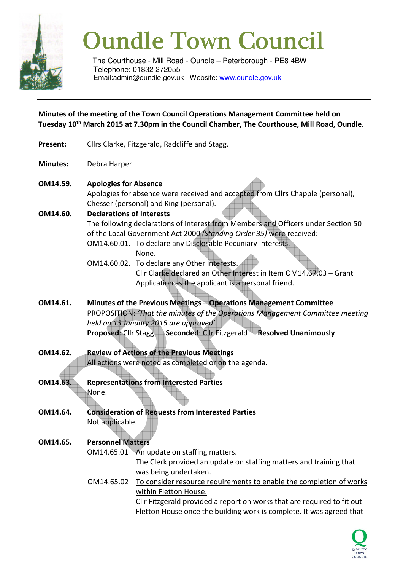

# Oundle Town Council

The Courthouse - Mill Road - Oundle – Peterborough - PE8 4BW Telephone: 01832 272055 Email:admin@oundle.gov.uk Website: www.oundle.gov.uk

**Minutes of the meeting of the Town Council Operations Management Committee held on Tuesday 10th March 2015 at 7.30pm in the Council Chamber, The Courthouse, Mill Road, Oundle.** 

- Present: Cllrs Clarke, Fitzgerald, Radcliffe and Stagg.
- **Minutes:** Debra Harper
- **OM14.59. Apologies for Absence**

Apologies for absence were received and accepted from Cllrs Chapple (personal), Chesser (personal) and King (personal).

**OM14.60. Declarations of Interests** 

The following declarations of interest from Members and Officers under Section 50 of the Local Government Act 2000 *(Standing Order 35)* were received:

- OM14.60.01. To declare any Disclosable Pecuniary Interests. None.
- OM14.60.02. To declare any Other Interests. Cllr Clarke declared an Other Interest in Item OM14.67.03 – Grant Application as the applicant is a personal friend.
- **OM14.61. Minutes of the Previous Meetings Operations Management Committee**  PROPOSITION: *'That the minutes of the Operations Management Committee meeting held on 13 January 2015 are approved'.*  **Proposed: Cllr Stagg Seconded: Cllr Fitzgerald Resolved Unanimously**
- **OM14.62. Review of Actions of the Previous Meetings** All actions were noted as completed or on the agenda.
- **OM14.63. Representations from Interested Parties**  None.
- **OM14.64. Consideration of Requests from Interested Parties** Not applicable.

## **OM14.65. Personnel Matters**

OM14.65.01 An update on staffing matters.

The Clerk provided an update on staffing matters and training that was being undertaken.

 OM14.65.02 To consider resource requirements to enable the completion of works within Fletton House.

 Cllr Fitzgerald provided a report on works that are required to fit out Fletton House once the building work is complete. It was agreed that

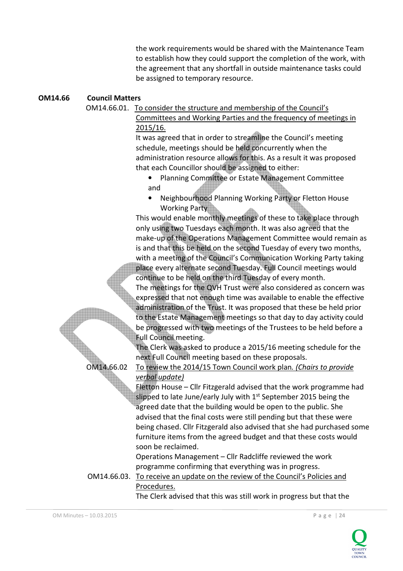the work requirements would be shared with the Maintenance Team to establish how they could support the completion of the work, with the agreement that any shortfall in outside maintenance tasks could be assigned to temporary resource.

#### **OM14.66 Council Matters**

OM14.66.01. To consider the structure and membership of the Council's

Committees and Working Parties and the frequency of meetings in 2015/16.

It was agreed that in order to streamline the Council's meeting schedule, meetings should be held concurrently when the administration resource allows for this. As a result it was proposed that each Councillor should be assigned to either:

- Planning Committee or Estate Management Committee and
- Neighbourhood Planning Working Party or Fletton House Working Party

This would enable monthly meetings of these to take place through only using two Tuesdays each month. It was also agreed that the make-up of the Operations Management Committee would remain as is and that this be held on the second Tuesday of every two months, with a meeting of the Council's Communication Working Party taking place every alternate second Tuesday. Full Council meetings would continue to be held on the third Tuesday of every month.

The meetings for the QVH Trust were also considered as concern was expressed that not enough time was available to enable the effective administration of the Trust. It was proposed that these be held prior to the Estate Management meetings so that day to day activity could be progressed with two meetings of the Trustees to be held before a Full Council meeting.

The Clerk was asked to produce a 2015/16 meeting schedule for the next Full Council meeting based on these proposals.

# OM14.66.02 To review the 2014/15 Town Council work plan*. (Chairs to provide*

*verbal update)*  Fletton House – Cllr Fitzgerald advised that the work programme had slipped to late June/early July with 1<sup>st</sup> September 2015 being the agreed date that the building would be open to the public. She advised that the final costs were still pending but that these were

being chased. Cllr Fitzgerald also advised that she had purchased some furniture items from the agreed budget and that these costs would soon be reclaimed.

 Operations Management – Cllr Radcliffe reviewed the work programme confirming that everything was in progress.

 OM14.66.03. To receive an update on the review of the Council's Policies and Procedures.

The Clerk advised that this was still work in progress but that the

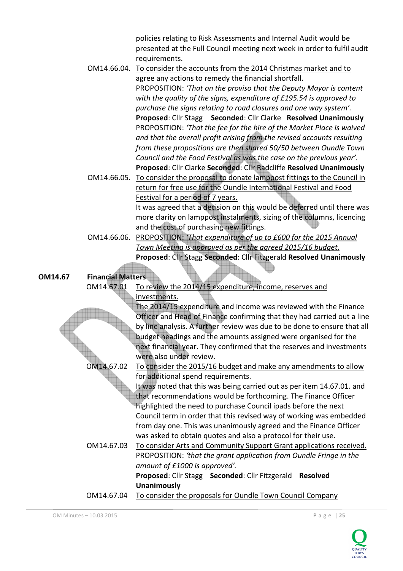policies relating to Risk Assessments and Internal Audit would be presented at the Full Council meeting next week in order to fulfil audit requirements.

 OM14.66.04. To consider the accounts from the 2014 Christmas market and to agree any actions to remedy the financial shortfall. PROPOSITION: *'That on the proviso that the Deputy Mayor is content with the quality of the signs, expenditure of £195.54 is approved to purchase the signs relating to road closures and one way system'.*  **Proposed**: Cllr Stagg **Seconded**: Cllr Clarke **Resolved Unanimously** PROPOSITION: *'That the fee for the hire of the Market Place is waived and that the overall profit arising from the revised accounts resulting from these propositions are then shared 50/50 between Oundle Town Council and the Food Festival as was the case on the previous year'.*   **Proposed**: Cllr Clarke **Seconded**: Cllr Radcliffe **Resolved Unanimously** OM14.66.05. To consider the proposal to donate lamppost fittings to the Council in

return for free use for the Oundle International Festival and Food Festival for a period of 7 years.

> It was agreed that a decision on this would be deferred until there was more clarity on lamppost instalments, sizing of the columns, licencing and the cost of purchasing new fittings.

 OM14.66.06. PROPOSITION: *'That expenditure of up to £600 for the 2015 Annual Town Meeting is approved as per the agreed 2015/16 budget.*  **Proposed**: Cllr Stagg **Seconded**: Cllr Fitzgerald **Resolved Unanimously**

### **OM14.67 Financial Matters**

 OM14.67.01 To review the 2014/15 expenditure, income, reserves and investments.

> The 2014/15 expenditure and income was reviewed with the Finance Officer and Head of Finance confirming that they had carried out a line by line analysis. A further review was due to be done to ensure that all budget headings and the amounts assigned were organised for the next financial year. They confirmed that the reserves and investments were also under review.

## OM14.67.02 To consider the 2015/16 budget and make any amendments to allow for additional spend requirements.

 It was noted that this was being carried out as per item 14.67.01. and that recommendations would be forthcoming. The Finance Officer highlighted the need to purchase Council ipads before the next Council term in order that this revised way of working was embedded from day one. This was unanimously agreed and the Finance Officer was asked to obtain quotes and also a protocol for their use.

# OM14.67.03 To consider Arts and Community Support Grant applications received. PROPOSITION: *'that the grant application from Oundle Fringe in the amount of £1000 is approved'.*

 **Proposed**: Cllr Stagg **Seconded**: Cllr Fitzgerald **Resolved Unanimously**

OM14.67.04 To consider the proposals for Oundle Town Council Company